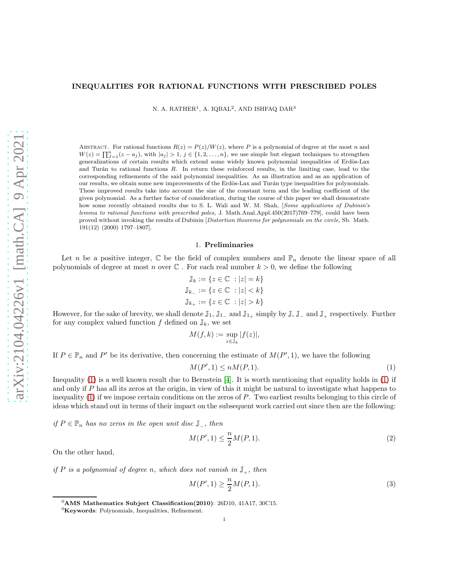## INEQUALITIES FOR RATIONAL FUNCTIONS WITH PRESCRIBED POLES

N. A. RATHER<sup>1</sup>, A. IQBAL<sup>2</sup>, AND ISHFAQ DAR<sup>3</sup>

ABSTRACT. For rational functions  $R(z) = P(z)/W(z)$ , where P is a polynomial of degree at the most n and  $W(z) = \prod_{j=1}^{n} (z - a_j)$ , with  $|a_j| > 1$ ,  $j \in \{1, 2, ..., n\}$ , we use simple but elegant techniques to strengthen generalizations of certain results which extend some widely known polynomial inequalities of Erdös-Lax and Turán to rational functions  $R$ . In return these reinforced results, in the limiting case, lead to the corresponding refinements of the said polynomial inequalities. As an illustration and as an application of our results, we obtain some new improvements of the Erdös-Lax and Turán type inequalities for polynomials. These improved results take into account the size of the constant term and the leading coefficient of the given polynomial. As a further factor of consideration, during the course of this paper we shall demonstrate how some recently obtained results due to S. L. Wali and W. M. Shah, [Some applications of Dubinin's lemma to rational functions with prescribed poles, J. Math.Anal.Appl.450(2017)769–779], could have been proved without invoking the results of Dubinin [Distortion theorems for polynomials on the circle, Sb. Math. 191(12) (2000) 1797–1807].

#### 1. Preliminaries

Let n be a positive integer,  $\mathbb C$  be the field of complex numbers and  $\mathbb P_n$  denote the linear space of all polynomials of degree at most n over  $\mathbb C$ . For each real number  $k > 0$ , we define the following

$$
\mathbb{J}_k := \{ z \in \mathbb{C} \ : |z| = k \}
$$
  

$$
\mathbb{J}_{k-} := \{ z \in \mathbb{C} \ : |z| < k \}
$$
  

$$
\mathbb{J}_{k+} := \{ z \in \mathbb{C} \ : |z| > k \}
$$

However, for the sake of brevity, we shall denote  $\mathbb{J}_1$ ,  $\mathbb{J}_{1-}$  and  $\mathbb{J}_{1+}$  simply by  $\mathbb{J}$ ,  $\mathbb{J}_{-}$  and  $\mathbb{J}_{+}$  respectively. Further for any complex valued function f defined on  $\mathbb{J}_k$ , we set

$$
M(f,k) := \sup_{z \in \mathbb{J}_k} |f(z)|,
$$

If  $P \in \mathbb{P}_n$  and P' be its derivative, then concerning the estimate of  $M(P', 1)$ , we have the following

<span id="page-0-0"></span>
$$
M(P', 1) \le nM(P, 1). \tag{1}
$$

Inequality [\(1\)](#page-0-0) is a well known result due to Bernstein [\[4\]](#page-12-0). It is worth mentioning that equality holds in [\(1\)](#page-0-0) if and only if P has all its zeros at the origin, in view of this it might be natural to investigate what happens to inequality  $(1)$  if we impose certain conditions on the zeros of P. Two earliest results belonging to this circle of ideas which stand out in terms of their impact on the subsequent work carried out since then are the following:

if  $P \in \mathbb{P}_n$  has no zeros in the open unit disc  $\mathbb{J}_-,$  then

<span id="page-0-1"></span>
$$
M(P', 1) \le \frac{n}{2}M(P, 1). \tag{2}
$$

On the other hand,

if P is a polynomial of degree n, which does not vanish in  $\mathbb{J}_+$ , then

<span id="page-0-2"></span>
$$
M(P', 1) \ge \frac{n}{2}M(P, 1). \tag{3}
$$

 ${}^{0}\text{AMS}$  Mathematics Subject Classification(2010): 26D10, 41A17, 30C15.

 ${}^{0}$ Keywords: Polynomials, Inequalities, Refinement.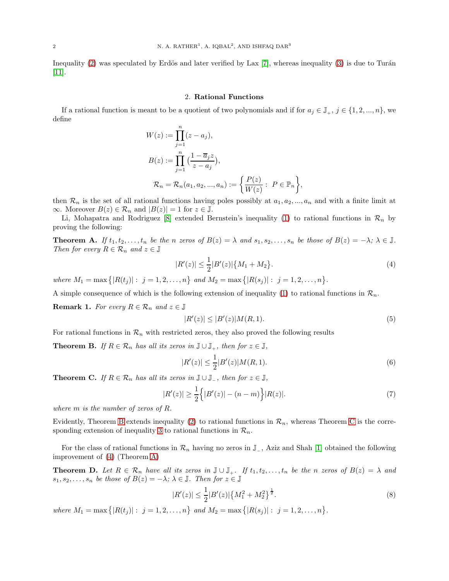Inequality  $(2)$  was speculated by Erdös and later verified by Lax [\[7\]](#page-12-1), whereas inequality  $(3)$  is due to Turán [\[11\]](#page-12-2).

## 2. Rational Functions

If a rational function is meant to be a quotient of two polynomials and if for  $a_i \in \mathbb{J}_+$ ,  $j \in \{1, 2, ..., n\}$ , we define

$$
W(z) := \prod_{j=1}^{n} (z - a_j),
$$
  
\n
$$
B(z) := \prod_{j=1}^{n} \left(\frac{1 - \overline{a}_j z}{z - a_j}\right),
$$
  
\n
$$
\mathcal{R}_n = \mathcal{R}_n(a_1, a_2, ..., a_n) := \left\{\frac{P(z)}{W(z)} : P \in \mathbb{P}_n\right\},
$$

then  $\mathcal{R}_n$  is the set of all rational functions having poles possibly at  $a_1, a_2, ..., a_n$  and with a finite limit at  $\infty$ . Moreover  $B(z) \in \mathcal{R}_n$  and  $|B(z)| = 1$  for  $z \in \mathbb{J}$ .

Li, Mohapatra and Rodriguez [\[8\]](#page-12-3) extended Bernstein's inequality [\(1\)](#page-0-0) to rational functions in  $\mathcal{R}_n$  by proving the following:

<span id="page-1-3"></span>**Theorem A.** If  $t_1, t_2, \ldots, t_n$  be the n zeros of  $B(z) = \lambda$  and  $s_1, s_2, \ldots, s_n$  be those of  $B(z) = -\lambda$ ;  $\lambda \in \mathbb{J}$ . Then for every  $R \in \mathcal{R}_n$  and  $z \in \mathbb{J}$ 

$$
|R'(z)| \le \frac{1}{2}|B'(z)|\{M_1 + M_2\}.
$$
\n(4)

where  $M_1 = \max\{|R(t_j)|: j = 1, 2, ..., n\}$  and  $M_2 = \max\{|R(s_j)|: j = 1, 2, ..., n\}$ .

A simple consequence of which is the following extension of inequality [\(1\)](#page-0-0) to rational functions in  $\mathcal{R}_n$ .

**Remark 1.** For every  $R \in \mathcal{R}_n$  and  $z \in \mathbb{J}$ 

<span id="page-1-2"></span>
$$
|R'(z)| \le |B'(z)|M(R,1).
$$
\n(5)

For rational functions in  $\mathcal{R}_n$  with restricted zeros, they also proved the following results

<span id="page-1-0"></span>**Theorem B.** If  $R \in \mathcal{R}_n$  has all its zeros in  $\mathbb{J} \cup \mathbb{J}_+$ , then for  $z \in \mathbb{J}$ ,

$$
|R'(z)| \le \frac{1}{2}|B'(z)|M(R,1). \tag{6}
$$

<span id="page-1-1"></span>**Theorem C.** If  $R \in \mathcal{R}_n$  has all its zeros in  $\mathbb{J} \cup \mathbb{J}_n$ , then for  $z \in \mathbb{J}$ ,

$$
|R'(z)| \ge \frac{1}{2} \Big\{ |B'(z)| - (n-m) \Big\} |R(z)|. \tag{7}
$$

where m is the number of zeros of R.

Evidently, Theorem [B](#page-1-0) extends inequality [\(2\)](#page-0-1) to rational functions in  $\mathcal{R}_n$ , whereas Theorem [C](#page-1-1) is the corre-sponding extension of inequality [3](#page-0-2) to rational functions in  $\mathcal{R}_n$ .

For the class of rational functions in  $\mathcal{R}_n$  having no zeros in  $\mathbb{J}_-$ , Aziz and Shah [\[1\]](#page-12-4) obtained the following improvement of [\(4\)](#page-1-2) (Theorem [A\)](#page-1-3)

<span id="page-1-4"></span>**Theorem D.** Let  $R \in \mathcal{R}_n$  have all its zeros in  $\mathbb{J} \cup \mathbb{J}_+$ . If  $t_1, t_2, \ldots, t_n$  be the n zeros of  $B(z) = \lambda$  and  $s_1, s_2, \ldots, s_n$  be those of  $B(z) = -\lambda; \, \lambda \in \mathbb{J}$ . Then for  $z \in \mathbb{J}$ 

<span id="page-1-5"></span>
$$
|R'(z)| \le \frac{1}{2}|B'(z)|\left\{M_1^2 + M_2^2\right\}^{\frac{1}{2}}.
$$
\n<sup>(8)</sup>

where  $M_1 = \max\{|R(t_j)|: j = 1, 2, ..., n\}$  and  $M_2 = \max\{|R(s_j)|: j = 1, 2, ..., n\}$ .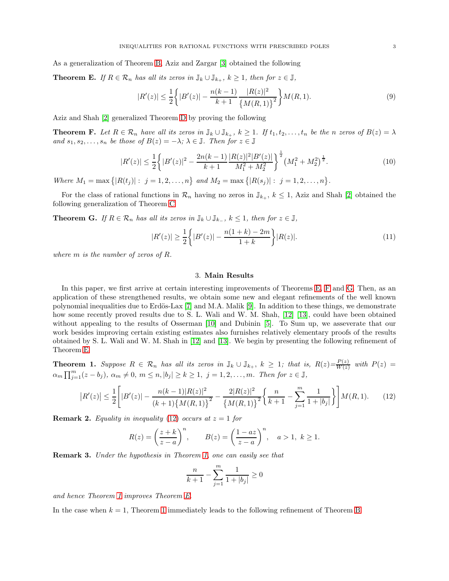As a generalization of Theorem [B,](#page-1-0) Aziz and Zargar [\[3\]](#page-12-5) obtained the following

<span id="page-2-0"></span>**Theorem E.** If  $R \in \mathcal{R}_n$  has all its zeros in  $\mathbb{J}_k \cup \mathbb{J}_{k_+}$ ,  $k \geq 1$ , then for  $z \in \mathbb{J}$ ,

$$
|R'(z)| \le \frac{1}{2} \left\{ |B'(z)| - \frac{n(k-1)}{k+1} \frac{|R(z)|^2}{\left\{ M(R,1) \right\}^2} \right\} M(R,1). \tag{9}
$$

Aziz and Shah [\[2\]](#page-12-6) generalized Theorem [D](#page-1-4) by proving the following

<span id="page-2-1"></span>**Theorem F.** Let  $R \in \mathcal{R}_n$  have all its zeros in  $\mathbb{J}_k \cup \mathbb{J}_{k_+}$ ,  $k \geq 1$ . If  $t_1, t_2, \ldots, t_n$  be the n zeros of  $B(z) = \lambda$ and  $s_1, s_2, \ldots, s_n$  be those of  $B(z) = -\lambda$ ;  $\lambda \in \mathbb{J}$ . Then for  $z \in \mathbb{J}$ 

$$
|R'(z)| \le \frac{1}{2} \left\{ |B'(z)|^2 - \frac{2n(k-1)}{k+1} \frac{|R(z)|^2 |B'(z)|}{M_1^2 + M_2^2} \right\}^{\frac{1}{2}} \left(M_1^2 + M_2^2\right)^{\frac{1}{2}}.
$$
\n
$$
(10)
$$

Where  $M_1 = \max \{|R(t_j)| : j = 1, 2, ..., n\}$  and  $M_2 = \max \{|R(s_j)| : j = 1, 2, ..., n\}$ .

For the class of rational functions in  $\mathcal{R}_n$  having no zeros in  $\mathbb{J}_{k_+}, k \leq 1$ , Aziz and Shah [\[2\]](#page-12-6) obtained the following generalization of Theorem [C](#page-1-1)

<span id="page-2-2"></span>**Theorem G.** If  $R \in \mathcal{R}_n$  has all its zeros in  $\mathbb{J}_k \cup \mathbb{J}_{k_-}$ ,  $k \leq 1$ , then for  $z \in \mathbb{J}$ ,

$$
|R'(z)| \ge \frac{1}{2} \left\{ |B'(z)| - \frac{n(1+k) - 2m}{1+k} \right\} |R(z)|. \tag{11}
$$

where m is the number of zeros of R.

### <span id="page-2-6"></span>3. Main Results

In this paper, we first arrive at certain interesting improvements of Theorems [E,](#page-2-0) [F](#page-2-1) and [G.](#page-2-2) Then, as an application of these strengthened results, we obtain some new and elegant refinements of the well known polynomial inequalities due to Erdös-Lax [\[7\]](#page-12-1) and M.A. Malik [\[9\]](#page-12-7). In addition to these things, we demonstrate how some recently proved results due to S. L. Wali and W. M. Shah, [\[12\]](#page-12-8) [\[13\]](#page-13-0), could have been obtained without appealing to the results of Osserman [\[10\]](#page-12-9) and Dubinin [\[5\]](#page-12-10). To Sum up, we asseverate that our work besides improving certain existing estimates also furnishes relatively elementary proofs of the results obtained by S. L. Wali and W. M. Shah in [\[12\]](#page-12-8) and [\[13\]](#page-13-0). We begin by presenting the following refinement of Theorem [E](#page-2-0)

<span id="page-2-4"></span>**Theorem 1.** Suppose  $R \in \mathcal{R}_n$  has all its zeros in  $\mathbb{J}_k \cup \mathbb{J}_{k_+}, k \geq 1$ ; that is,  $R(z) = \frac{P(z)}{W(z)}$  $\frac{P(z)}{W(z)}$  with  $P(z) =$  $\alpha_m \prod_{j=1}^m (z - b_j)$ ,  $\alpha_m \neq 0$ ,  $m \leq n, |b_j| \geq k \geq 1$ ,  $j = 1, 2, \ldots, m$ . Then for  $z \in \mathbb{J}$ ,

$$
|R'(z)| \leq \frac{1}{2} \Bigg[ |B'(z)| - \frac{n(k-1)|R(z)|^2}{(k+1)\{M(R,1)\}^2} - \frac{2|R(z)|^2}{\{M(R,1)\}^2} \Bigg\{ \frac{n}{k+1} - \sum_{j=1}^m \frac{1}{1+|b_j|} \Bigg\} \Bigg] M(R,1). \tag{12}
$$

**Remark 2.** Equality in inequality [\(12\)](#page-2-3) occurs at  $z = 1$  for

$$
R(z) = \left(\frac{z+k}{z-a}\right)^n, \qquad B(z) = \left(\frac{1-az}{z-a}\right)^n, \quad a > 1, \ k \ge 1.
$$

<span id="page-2-5"></span>Remark 3. Under the hypothesis in Theorem [1,](#page-2-4) one can easily see that

<span id="page-2-3"></span>
$$
\frac{n}{k+1} - \sum_{j=1}^{m} \frac{1}{1 + |b_j|} \ge 0
$$

and hence Theorem [1](#page-2-4) improves Theorem [E.](#page-2-0)

In the case when  $k = 1$  $k = 1$ , Theorem 1 immediately leads to the following refinement of Theorem [B](#page-1-0)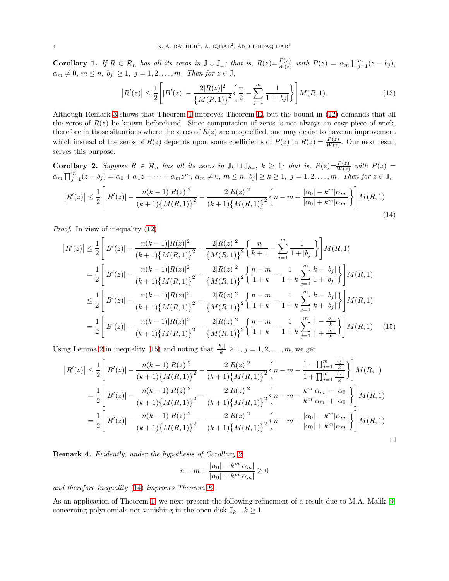**Corollary 1.** If  $R \in \mathcal{R}_n$  has all its zeros in  $\mathbb{J} \cup \mathbb{J}_+$ ; that is,  $R(z) = \frac{P(z)}{W(z)}$  $\frac{P(z)}{W(z)}$  with  $P(z) = \alpha_m \prod_{j=1}^m (z - b_j),$  $\alpha_m \neq 0, m \leq n, |b_j| \geq 1, j = 1, 2, \ldots, m$ . Then for  $z \in \mathbb{J}$ ,

<span id="page-3-2"></span>
$$
|R'(z)| \le \frac{1}{2} \left[ |B'(z)| - \frac{2|R(z)|^2}{\left\{ M(R,1) \right\}^2} \left\{ \frac{n}{2} - \sum_{j=1}^m \frac{1}{1+|b_j|} \right\} \right] M(R,1). \tag{13}
$$

Although Remark [3](#page-2-5) shows that Theorem [1](#page-2-4) improves Theorem [E,](#page-2-0) but the bound in [\(12\)](#page-2-3) demands that all the zeros of  $R(z)$  be known beforehand. Since computation of zeros is not always an easy piece of work, therefore in those situations where the zeros of  $R(z)$  are unspecified, one may desire to have an improvement which instead of the zeros of  $R(z)$  depends upon some coefficients of  $P(z)$  in  $R(z) = \frac{P(z)}{W(z)}$ . Our next result serves this purpose.

<span id="page-3-1"></span>**Corollary 2.** Suppose  $R \in \mathcal{R}_n$  has all its zeros in  $\mathbb{J}_k \cup \mathbb{J}_{k_+}, k \geq 1$ ; that is,  $R(z) = \frac{P(z)}{W(z)}$  $\frac{P(z)}{W(z)}$  with  $P(z) =$  $\alpha_m \prod_{j=1}^m (z-b_j) = \alpha_0 + \alpha_1 z + \cdots + \alpha_m z^m$ ,  $\alpha_m \neq 0$ ,  $m \leq n$ ,  $|b_j| \geq k \geq 1$ ,  $j = 1, 2, \ldots, m$ . Then for  $z \in \mathbb{J}$ ,

$$
|R'(z)| \leq \frac{1}{2} \left[ |B'(z)| - \frac{n(k-1)|R(z)|^2}{(k+1)\{M(R,1)\}^2} - \frac{2|R(z)|^2}{(k+1)\{M(R,1)\}^2} \left\{ n - m + \frac{|\alpha_0| - k^m |\alpha_m|}{|\alpha_0| + k^m |\alpha_m|} \right\} \right] M(R,1) \tag{14}
$$

Proof. In view of inequality [\(12\)](#page-2-3)

$$
\begin{split}\n|R'(z)| &\leq \frac{1}{2} \left[ |B'(z)| - \frac{n(k-1)|R(z)|^2}{(k+1)\{M(R,1)\}^2} - \frac{2|R(z)|^2}{\{M(R,1)\}^2} \left\{ \frac{n}{k+1} - \sum_{j=1}^m \frac{1}{1+|b_j|} \right\} \right] M(R,1) \\
&= \frac{1}{2} \left[ |B'(z)| - \frac{n(k-1)|R(z)|^2}{(k+1)\{M(R,1)\}^2} - \frac{2|R(z)|^2}{\{M(R,1)\}^2} \left\{ \frac{n-m}{1+k} - \frac{1}{1+k} \sum_{j=1}^m \frac{k-|b_j|}{1+|b_j|} \right\} \right] M(R,1) \\
&\leq \frac{1}{2} \left[ |B'(z)| - \frac{n(k-1)|R(z)|^2}{(k+1)\{M(R,1)\}^2} - \frac{2|R(z)|^2}{\{M(R,1)\}^2} \left\{ \frac{n-m}{1+k} - \frac{1}{1+k} \sum_{j=1}^m \frac{k-|b_j|}{k+|b_j|} \right\} \right] M(R,1) \\
&= \frac{1}{2} \left[ |B'(z)| - \frac{n(k-1)|R(z)|^2}{(k+1)\{M(R,1)\}^2} - \frac{2|R(z)|^2}{\{M(R,1)\}^2} \left\{ \frac{n-m}{1+k} - \frac{1}{1+k} \sum_{j=1}^m \frac{1-\frac{|b_j|}{k}}{1+\frac{|b_j|}{k}} \right\} \right] M(R,1) \tag{15}\n\end{split}
$$

Using Lemma [2](#page-9-0) in inequality [\(15\)](#page-3-0) and noting that  $\frac{|b_j|}{k} \geq 1$ ,  $j = 1, 2, ..., m$ , we get

$$
|R'(z)| \leq \frac{1}{2} \left[ |B'(z)| - \frac{n(k-1)|R(z)|^2}{(k+1)\{M(R,1)\}^2} - \frac{2|R(z)|^2}{(k+1)\{M(R,1)\}^2} \left\{ n - m - \frac{1 - \prod_{j=1}^m \frac{|b_j|}{k}}{1 + \prod_{j=1}^m \frac{|b_j|}{k}} \right\} \right] M(R,1)
$$
  
\n
$$
= \frac{1}{2} \left[ |B'(z)| - \frac{n(k-1)|R(z)|^2}{(k+1)\{M(R,1)\}^2} - \frac{2|R(z)|^2}{(k+1)\{M(R,1)\}^2} \left\{ n - m - \frac{k^m|\alpha_m| - |\alpha_0|}{k^m|\alpha_m| + |\alpha_0|} \right\} \right] M(R,1)
$$
  
\n
$$
= \frac{1}{2} \left[ |B'(z)| - \frac{n(k-1)|R(z)|^2}{(k+1)\{M(R,1)\}^2} - \frac{2|R(z)|^2}{(k+1)\{M(R,1)\}^2} \left\{ n - m + \frac{|\alpha_0| - k^m|\alpha_m|}{|\alpha_0| + k^m|\alpha_m|} \right\} \right] M(R,1)
$$

Remark 4. Evidently, under the hypothesis of Corollary [2](#page-3-1)

<span id="page-3-0"></span>
$$
n-m+\frac{|\alpha_0|-k^m|\alpha_m|}{|\alpha_0|+k^m|\alpha_m|}\geq 0
$$

and therefore inequality [\(14\)](#page-3-2) improves Theorem [E.](#page-2-0)

As an application of Theorem [1,](#page-2-4) we next present the following refinement of a result due to M.A. Malik [\[9\]](#page-12-7) concerning polynomials not vanishing in the open disk  $\mathbb{J}_{k_{-}}$ ,  $k \geq 1$ .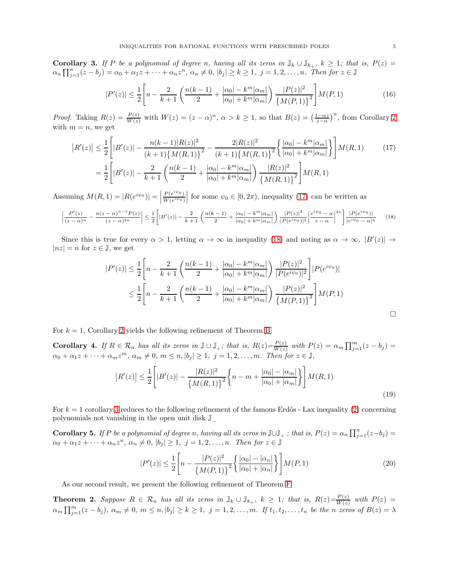<span id="page-4-2"></span>**Corollary 3.** If P be a polynomial of degree n, having all its zeros in  $\mathbb{J}_k \cup \mathbb{J}_{k_+}$ ,  $k \geq 1$ ; that is,  $P(z) =$  $\alpha_n \prod_{j=1}^n (z-b_j) = \alpha_0 + \alpha_1 z + \cdots + \alpha_n z^n, \ \alpha_n \neq 0, \ |b_j| \geq k \geq 1, \ j = 1, 2, \ldots, n.$  Then for  $z \in \mathbb{J}$ 

<span id="page-4-0"></span>
$$
|P'(z)| \le \frac{1}{2} \left[ n - \frac{2}{k+1} \left( \frac{n(k-1)}{2} + \frac{|\alpha_0| - k^m |\alpha_m|}{|\alpha_0| + k^m |\alpha_m|} \right) \frac{|P(z)|^2}{\{M(P, 1)\}^2} \right] M(P, 1) \tag{16}
$$

*Proof.* Taking  $R(z) = \frac{P(z)}{W(z)}$  with  $W(z) = (z - \alpha)^n$ ,  $\alpha > k \ge 1$ , so that  $B(z) = \left(\frac{1-\alpha z}{z-\alpha}\right)^n$ , from Corollary [2](#page-3-1) with  $m = n$ , we get

$$
\left| R'(z) \right| \leq \frac{1}{2} \left[ |B'(z)| - \frac{n(k-1)|R(z)|^2}{(k+1)\{M(R,1)\}^2} - \frac{2|R(z)|^2}{(k+1)\{M(R,1)\}^2} \left\{ \frac{|\alpha_0| - k^m |\alpha_m|}{|\alpha_0| + k^m |\alpha_m|} \right\} \right] M(R,1) \tag{17}
$$

$$
= \frac{1}{2} \left[ |B'(z)| - \frac{2}{k+1} \left( \frac{n(k-1)}{2} + \frac{|\alpha_0| - k^m |\alpha_m|}{|\alpha_0| + k^m |\alpha_m|} \right) \frac{|R(z)|^2}{\{M(R,1)\}^2} \right] M(R,1)
$$

Assuming  $M(R, 1) = |R(e^{i\psi_0})| = |$  $P(e^{i\psi_0})$  $\frac{P(e^{i\psi_0})}{W(e^{i\psi_0})}$  for some  $\psi_0 \in [0, 2\pi)$ , inequality [\(17\)](#page-4-0) can be written as

$$
\left|\frac{P'(z)}{(z-\alpha)^n} - \frac{n(z-\alpha)^{n-1}P(z)}{(z-\alpha)^{2n}}\right| \le \frac{1}{2} \left[|B'(z)| - \frac{2}{k+1} \left(\frac{n(k-1)}{2} + \frac{|\alpha_0| - k^m |\alpha_m|}{|\alpha_0| + k^m |\alpha_m|}\right) \frac{|P(z)|^2}{|P(e^{i\psi_0})|^2} \right] \frac{|e^{i\psi_0} - \alpha|^{2n}}{|e^{i\psi_0} - \alpha|^n} \tag{18}
$$

Since this is true for every  $\alpha > 1$ , letting  $\alpha \to \infty$  in inequality [\(18\)](#page-4-1) and noting as  $\alpha \to \infty$ ,  $|B'(z)| \to$  $|nz| = n$  for  $z \in \mathbb{J}$ , we get

<span id="page-4-1"></span>
$$
|P'(z)| \leq \frac{1}{2} \left[ n - \frac{2}{k+1} \left( \frac{n(k-1)}{2} + \frac{|\alpha_0| - k^m |\alpha_m|}{|\alpha_0| + k^m |\alpha_m|} \right) \frac{|P(z)|^2}{|P(e^{i\psi_0})|^2} \right] |P(e^{i\psi_0})|
$$
  

$$
\leq \frac{1}{2} \left[ n - \frac{2}{k+1} \left( \frac{n(k-1)}{2} + \frac{|\alpha_0| - k^m |\alpha_m|}{|\alpha_0| + k^m |\alpha_m|} \right) \frac{|P(z)|^2}{\left\{ M(P, 1) \right\}^2} \right] M(P, 1)
$$

For  $k = 1$ , Corollary [2](#page-3-1) yields the following refinement of Theorem [B](#page-1-0)

**Corollary 4.** If  $R \in \mathcal{R}_n$  has all its zeros in  $\mathbb{J} \cup \mathbb{J}_+$ ; that is,  $R(z) = \frac{P(z)}{W(z)}$  $\frac{P(z)}{W(z)}$  with  $P(z) = \alpha_m \prod_{j=1}^m (z - b_j) =$  $\alpha_0 + \alpha_1 z + \cdots + \alpha_m z^m$ ,  $\alpha_m \neq 0$ ,  $m \leq n$ ,  $|b_j| \geq 1$ ,  $j = 1, 2, \ldots, m$ . Then for  $z \in \mathbb{J}$ ,

$$
|R'(z)| \le \frac{1}{2} \left[ |B'(z)| - \frac{|R(z)|^2}{\left\{ M(R,1) \right\}^2} \left\{ n - m + \frac{|\alpha_0| - |\alpha_m|}{|\alpha_0| + |\alpha_m|} \right\} \right] M(R,1)
$$
\n(19)

For  $k = 1$  corollary [3](#page-4-2) reduces to the following refinement of the famous Erdös - Lax inequality [\(2\)](#page-0-1) concerning polynomials not vanishing in the open unit disk J<sup>−</sup>

**Corollary 5.** If P be a polynomial of degree n, having all its zeros in  $\mathbb{J}\cup\mathbb{J}_+$ ; that is,  $P(z) = \alpha_n \prod_{j=1}^n (z-b_j)$  $\alpha_0 + \alpha_1 z + \cdots + \alpha_n z^n$ ,  $\alpha_n \neq 0$ ,  $|b_j| \geq 1$ ,  $j = 1, 2, \ldots, n$ . Then for  $z \in \mathbb{J}$ 

$$
|P'(z)| \le \frac{1}{2} \left[ n - \frac{|P(z)|^2}{\left\{ M(P, 1) \right\}^2} \left\{ \frac{|\alpha_0| - |\alpha_n|}{|\alpha_0| + |\alpha_n|} \right\} \right] M(P, 1) \tag{20}
$$

As our second result, we present the following refinement of Theorem [F](#page-2-1)

<span id="page-4-3"></span>**Theorem 2.** Suppose  $R \in \mathcal{R}_n$  has all its zeros in  $\mathbb{J}_k \cup \mathbb{J}_{k_+}$ ,  $k \geq 1$ ; that is,  $R(z) = \frac{P(z)}{W(z)}$  $\frac{P(z)}{W(z)}$  with  $P(z) =$  $\alpha_m \prod_{j=1}^m (z-b_j)$ ,  $\alpha_m \neq 0$ ,  $m \leq n$ ,  $|b_j| \geq k \geq 1$ ,  $j = 1, 2, \ldots, m$ . If  $t_1, t_2, \ldots, t_n$  be the n zeros of  $B(z) = \lambda$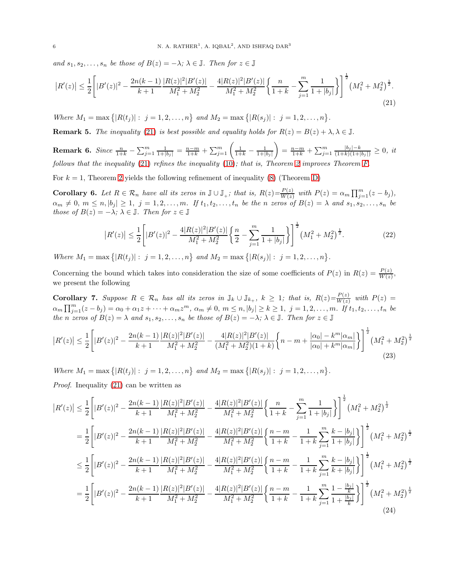and  $s_1, s_2, \ldots, s_n$  be those of  $B(z) = -\lambda$ ;  $\lambda \in \mathbb{J}$ . Then for  $z \in \mathbb{J}$ 

$$
\left|R'(z)\right| \leq \frac{1}{2} \left[ |B'(z)|^2 - \frac{2n(k-1)}{k+1} \frac{|R(z)|^2 |B'(z)|}{M_1^2 + M_2^2} - \frac{4|R(z)|^2 |B'(z)|}{M_1^2 + M_2^2} \left\{ \frac{n}{1+k} - \sum_{j=1}^m \frac{1}{1+|b_j|} \right\} \right]^{\frac{1}{2}} \left(M_1^2 + M_2^2\right)^{\frac{1}{2}}.
$$
\n(21)

Where  $M_1 = \max\{|R(t_j)|: j = 1, 2, ..., n\}$  and  $M_2 = \max\{|R(s_j)|: j = 1, 2, ..., n\}$ .

**Remark 5.** The inequality [\(21\)](#page-5-0) is best possible and equality holds for  $R(z) = B(z) + \lambda, \lambda \in \mathbb{J}$ .

**Remark 6.** Since 
$$
\frac{n}{1+k} - \sum_{j=1}^{m} \frac{1}{1+|b_j|} = \frac{n-m}{1+k} + \sum_{j=1}^{m} \left( \frac{1}{1+k} - \frac{1}{1+|b_j|} \right) = \frac{n-m}{1+k} + \sum_{j=1}^{m} \frac{|b_j| - k}{(1+k)(1+|b_j|)} \geq 0
$$
, it follows that the inequality (21) refers the inequality (10); that is, Theorem 2 improves Theorem F.

For  $k = 1$ , Theorem [2](#page-4-3) yields the following refinement of inequality [\(8\)](#page-1-5) (Theorem [D\)](#page-1-4)

**Corollary 6.** Let  $R \in \mathcal{R}_n$  have all its zeros in  $\mathbb{J} \cup \mathbb{J}_+$ ; that is,  $R(z) = \frac{P(z)}{W(z)}$  $\frac{P(z)}{W(z)}$  with  $P(z) = \alpha_m \prod_{j=1}^m (z - b_j),$  $\alpha_m \neq 0, m \leq n, |b_j| \geq 1, j = 1, 2, \ldots, m$ . If  $t_1, t_2, \ldots, t_n$  be the n zeros of  $B(z) = \lambda$  and  $s_1, s_2, \ldots, s_n$  be those of  $B(z) = -\lambda$ ;  $\lambda \in \mathbb{J}$ . Then for  $z \in \mathbb{J}$ 

<span id="page-5-3"></span><span id="page-5-0"></span>
$$
|R'(z)| \le \frac{1}{2} \left[ |B'(z)|^2 - \frac{4|R(z)|^2|B'(z)|}{M_1^2 + M_2^2} \left\{ \frac{n}{2} - \sum_{j=1}^m \frac{1}{1 + |b_j|} \right\} \right]^{\frac{1}{2}} \left( M_1^2 + M_2^2 \right)^{\frac{1}{2}}.
$$
 (22)

Where  $M_1 = \max \{|R(t_j)| : j = 1, 2, ..., n\}$  and  $M_2 = \max \{|R(s_j)| : j = 1, 2, ..., n\}$ .

Concerning the bound which takes into consideration the size of some coefficients of  $P(z)$  in  $R(z) = \frac{P(z)}{W(z)}$ , we present the following

<span id="page-5-2"></span>**Corollary 7.** Suppose  $R \in \mathcal{R}_n$  has all its zeros in  $\mathbb{J}_k \cup \mathbb{J}_{k_+}$ ,  $k \geq 1$ ; that is,  $R(z) = \frac{P(z)}{W(z)}$  $\frac{F(z)}{W(z)}$  with  $P(z) =$  $\alpha_m \prod_{j=1}^m (z - b_j) = \alpha_0 + \alpha_1 z + \cdots + \alpha_m z^m$ ,  $\alpha_m \neq 0$ ,  $m \leq n$ ,  $|b_j| \geq k \geq 1$ ,  $j = 1, 2, \ldots, m$ . If  $t_1, t_2, \ldots, t_n$  be the n zeros of  $B(z) = \lambda$  and  $s_1, s_2, \ldots, s_n$  be those of  $B(z) = -\lambda; \lambda \in \mathbb{J}$ . Then for  $z \in \mathbb{J}$ 

$$
\left|R'(z)\right| \leq \frac{1}{2} \left[ |B'(z)|^2 - \frac{2n(k-1)}{k+1} \frac{|R(z)|^2 |B'(z)|}{M_1^2 + M_2^2} - \frac{4|R(z)|^2 |B'(z)|}{(M_1^2 + M_2^2)(1+k)} \left\{n - m + \frac{|\alpha_0| - k^m |\alpha_m|}{|\alpha_0| + k^m |\alpha_m|}\right\}\right]^{\frac{1}{2}} \left(M_1^2 + M_2^2\right)^{\frac{1}{2}} \tag{23}
$$

Where  $M_1 = \max \{|R(t_j)| : j = 1, 2, ..., n\}$  and  $M_2 = \max \{|R(s_j)| : j = 1, 2, ..., n\}$ .

Proof. Inequality [\(21\)](#page-5-0) can be written as

<span id="page-5-1"></span>
$$
|R'(z)| \leq \frac{1}{2} \Bigg[ |B'(z)|^2 - \frac{2n(k-1)}{k+1} \frac{|R(z)|^2 |B'(z)|}{M_1^2 + M_2^2} - \frac{4|R(z)|^2 |B'(z)|}{M_1^2 + M_2^2} \Bigg\{ \frac{n}{1+k} - \sum_{j=1}^m \frac{1}{1+|b_j|} \Bigg\} \Bigg]^{\frac{1}{2}} (M_1^2 + M_2^2)^{\frac{1}{2}}
$$
  
\n
$$
= \frac{1}{2} \Bigg[ |B'(z)|^2 - \frac{2n(k-1)}{k+1} \frac{|R(z)|^2 |B'(z)|}{M_1^2 + M_2^2} - \frac{4|R(z)|^2 |B'(z)|}{M_1^2 + M_2^2} \Bigg\{ \frac{n-m}{1+k} - \frac{1}{1+k} \sum_{j=1}^m \frac{k-|b_j|}{1+|b_j|} \Bigg\} \Bigg]^{\frac{1}{2}} (M_1^2 + M_2^2)^{\frac{1}{2}}
$$
  
\n
$$
\leq \frac{1}{2} \Bigg[ |B'(z)|^2 - \frac{2n(k-1)}{k+1} \frac{|R(z)|^2 |B'(z)|}{M_1^2 + M_2^2} - \frac{4|R(z)|^2 |B'(z)|}{M_1^2 + M_2^2} \Bigg\{ \frac{n-m}{1+k} - \frac{1}{1+k} \sum_{j=1}^m \frac{k-|b_j|}{k+|b_j|} \Bigg\} \Bigg]^{\frac{1}{2}} (M_1^2 + M_2^2)^{\frac{1}{2}}
$$
  
\n
$$
= \frac{1}{2} \Bigg[ |B'(z)|^2 - \frac{2n(k-1)}{k+1} \frac{|R(z)|^2 |B'(z)|}{M_1^2 + M_2^2} - \frac{4|R(z)|^2 |B'(z)|}{M_1^2 + M_2^2} \Bigg\{ \frac{n-m}{1+k} - \frac{1}{1+k} \sum_{j=1}^m \frac{1-\frac{|b_j|}{k}}{1+\frac{|b_j|}{k}} \Bigg\} \Bigg]^{\frac{1}{2}} (M_1^2 + M_2^2)^{\frac{1}{2}}
$$
  
\n(24)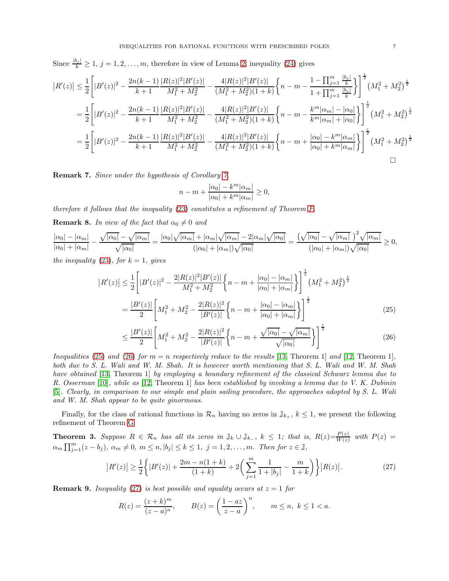Since  $\frac{|b_j|}{k} \geq 1$ ,  $j = 1, 2, \ldots, m$  $j = 1, 2, \ldots, m$  $j = 1, 2, \ldots, m$ , therefore in view of Lemma 2, inequality [\(24\)](#page-5-1) gives

$$
\begin{split} \left| R'(z) \right| &\leq \frac{1}{2} \Bigg[ |B'(z)|^2 - \frac{2n(k-1)}{k+1} \frac{|R(z)|^2 |B'(z)|}{M_1^2 + M_2^2} - \frac{4|R(z)|^2 |B'(z)|}{(M_1^2 + M_2^2)(1+k)} \bigg\{ n-m - \frac{1-\prod_{j=1}^m \frac{|b_j|}{k}}{1+\prod_{j=1}^m \frac{|b_j|}{k}} \bigg\} \Bigg]^{\frac{1}{2}} \Big( M_1^2 + M_2^2 \Big)^{\frac{1}{2}} \\ &= \frac{1}{2} \Bigg[ |B'(z)|^2 - \frac{2n(k-1)}{k+1} \frac{|R(z)|^2 |B'(z)|}{M_1^2 + M_2^2} - \frac{4|R(z)|^2 |B'(z)|}{(M_1^2 + M_2^2)(1+k)} \bigg\{ n-m - \frac{k^m |\alpha_m| - |\alpha_0|}{k^m |\alpha_m| + |\alpha_0|} \bigg\} \Bigg]^{\frac{1}{2}} \Big( M_1^2 + M_2^2 \Big)^{\frac{1}{2}} \\ &= \frac{1}{2} \Bigg[ |B'(z)|^2 - \frac{2n(k-1)}{k+1} \frac{|R(z)|^2 |B'(z)|}{M_1^2 + M_2^2} - \frac{4|R(z)|^2 |B'(z)|}{(M_1^2 + M_2^2)(1+k)} \bigg\{ n-m + \frac{|\alpha_0| - k^m |\alpha_m|}{|\alpha_0| + k^m |\alpha_m|} \bigg\} \Bigg]^{\frac{1}{2}} \Big( M_1^2 + M_2^2 \Big)^{\frac{1}{2}} \\ &\Box \end{split}
$$

Remark 7. Since under the hypothesis of Corollary [7,](#page-5-2)

<span id="page-6-1"></span><span id="page-6-0"></span>
$$
n-m+\frac{|\alpha_0|-k^m|\alpha_m|}{|\alpha_0|+k^m|\alpha_m|}\geq 0,
$$

therefore it follows that the inequality [\(23\)](#page-5-3) constitutes a refinement of Theorem [F.](#page-2-1)

<span id="page-6-4"></span>**Remark 8.** In view of the fact that  $\alpha_0 \neq 0$  and

$$
\frac{|\alpha_0| - |\alpha_m|}{|\alpha_0| + |\alpha_m|} - \frac{\sqrt{|\alpha_0|} - \sqrt{|\alpha_m|}}{\sqrt{|\alpha_0|}} = \frac{|\alpha_0| \sqrt{|\alpha_m|} + |\alpha_m| \sqrt{|\alpha_m|} - 2|\alpha_m| \sqrt{|\alpha_0|}}{(|\alpha_0| + |\alpha_m|) \sqrt{|\alpha_0|}} = \frac{(\sqrt{|\alpha_0|} - \sqrt{|\alpha_m|})^2 \sqrt{|\alpha_m|}}{(|\alpha_0| + |\alpha_m|) \sqrt{|\alpha_0|}} \ge 0,
$$

the inequality [\(23\)](#page-5-3), for  $k = 1$ , gives

 $\overline{\phantom{a}}$ 

$$
|R'(z)| \leq \frac{1}{2} \left[ |B'(z)|^2 - \frac{2|R(z)|^2|B'(z)|}{M_1^2 + M_2^2} \left\{ n - m + \frac{|\alpha_0| - |\alpha_m|}{|\alpha_0| + |\alpha_m|} \right\} \right]^{\frac{1}{2}} \left( M_1^2 + M_2^2 \right)^{\frac{1}{2}}
$$

$$
= \frac{|B'(z)|}{2} \left[ M_1^2 + M_2^2 - \frac{2|R(z)|^2}{|B'(z)|} \left\{ n - m + \frac{|\alpha_0| - |\alpha_m|}{|\alpha_0| + |\alpha_m|} \right\} \right]^{\frac{1}{2}}
$$
(25)

$$
\leq \frac{|B'(z)|}{2} \left[ M_1^2 + M_2^2 - \frac{2|R(z)|^2}{|B'(z)|} \left\{ n - m + \frac{\sqrt{|\alpha_0|} - \sqrt{|\alpha_m|}}{\sqrt{|\alpha_0|}} \right\} \right]^{\frac{1}{2}} \tag{26}
$$

Inequalities [\(25\)](#page-6-0) and [\(26\)](#page-6-1) for  $m = n$  respectively reduce to the results [\[13,](#page-13-0) Theorem 1] and [\[12,](#page-12-8) Theorem 1]. both due to S. L. Wali and W. M. Shah. It is however worth mentioning that S. L. Wali and W. M. Shah have obtained [\[13,](#page-13-0) Theorem 1] by employing a boundary refinement of the classical Schwarz lemma due to R. Osserman [\[10\]](#page-12-9), while as [\[12,](#page-12-8) Theorem 1] has been established by invoking a lemma due to V. K. Dubinin [\[5\]](#page-12-10). Clearly, in comparison to our simple and plain sailing procedure, the approaches adopted by S. L. Wali and W. M. Shah appear to be quite ginormous.

Finally, for the class of rational functions in  $\mathcal{R}_n$  having no zeros in  $\mathbb{J}_{k_+}$ ,  $k \leq 1$ , we present the following refinement of Theorem [G](#page-2-2)

<span id="page-6-3"></span>**Theorem 3.** Suppose  $R \in \mathcal{R}_n$  has all its zeros in  $\mathbb{J}_k \cup \mathbb{J}_{k_-}$ ,  $k \leq 1$ ; that is,  $R(z) = \frac{P(z)}{W(z)}$  $\frac{P(z)}{W(z)}$  with  $P(z) =$  $\alpha_m \prod_{j=1}^m (z - b_j)$ ,  $\alpha_m \neq 0$ ,  $m \leq n$ ,  $|b_j| \leq k \leq 1$ ,  $j = 1, 2, \ldots, m$ . Then for  $z \in \mathbb{J}$ ,

$$
|R'(z)| \ge \frac{1}{2} \left\{ |B'(z)| + \frac{2m - n(1+k)}{(1+k)} + 2\left(\sum_{j=1}^{m} \frac{1}{1+|b_j|} - \frac{m}{1+k}\right) \right\} |R(z)|. \tag{27}
$$

**Remark 9.** Inequality [\(27\)](#page-6-2) is best possible and equality occurs at  $z = 1$  for

<span id="page-6-2"></span>
$$
R(z) = \frac{(z+k)^m}{(z-a)^n}, \qquad B(z) = \left(\frac{1-az}{z-a}\right)^n, \qquad m \le n, \ k \le 1 < a.
$$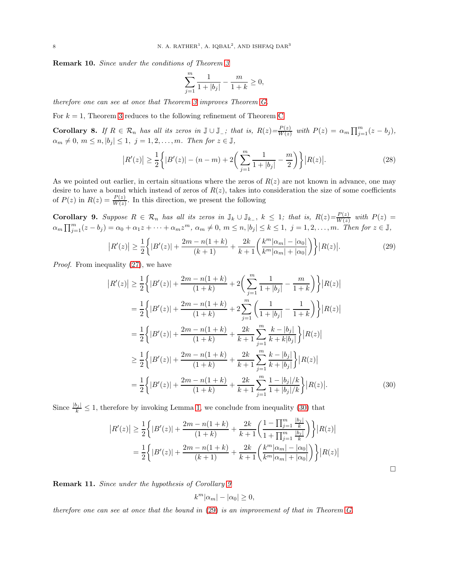Remark 10. Since under the conditions of Theorem [3](#page-6-3)

$$
\sum_{j=1}^{m} \frac{1}{1 + |b_j|} - \frac{m}{1 + k} \ge 0,
$$

therefore one can see at once that Theorem [3](#page-6-3) improves Theorem [G.](#page-2-2)

For  $k = 1$ , Theorem [3](#page-6-3) reduces to the following refinement of Theorem [C](#page-1-1)

**Corollary 8.** If  $R \in \mathcal{R}_n$  has all its zeros in  $\mathbb{J} \cup \mathbb{J}_n$ ; that is,  $R(z) = \frac{P(z)}{W(z)}$  $\frac{P(z)}{W(z)}$  with  $P(z) = \alpha_m \prod_{j=1}^m (z - b_j),$  $\alpha_m \neq 0, m \leq n, |b_j| \leq 1, j = 1, 2, \ldots, m$ . Then for  $z \in \mathbb{J}$ ,

$$
|R'(z)| \ge \frac{1}{2} \left\{ |B'(z)| - (n-m) + 2 \left( \sum_{j=1}^{m} \frac{1}{1 + |b_j|} - \frac{m}{2} \right) \right\} |R(z)|. \tag{28}
$$

As we pointed out earlier, in certain situations where the zeros of  $R(z)$  are not known in advance, one may desire to have a bound which instead of zeros of  $R(z)$ , takes into consideration the size of some coefficients of  $P(z)$  in  $R(z) = \frac{P(z)}{W(z)}$ . In this direction, we present the following

<span id="page-7-1"></span>**Corollary 9.** Suppose  $R \in \mathcal{R}_n$  has all its zeros in  $\mathbb{J}_k \cup \mathbb{J}_{k_-}$ ,  $k \leq 1$ ; that is,  $R(z) = \frac{P(z)}{W(z)}$  $\frac{F(z)}{W(z)}$  with  $P(z) =$  $\alpha_m \prod_{j=1}^m (z-b_j) = \alpha_0 + \alpha_1 z + \cdots + \alpha_m z^m$ ,  $\alpha_m \neq 0$ ,  $m \leq n$ ,  $|b_j| \leq k \leq 1$ ,  $j = 1, 2, \ldots, m$ . Then for  $z \in \mathbb{J}$ ,

$$
|R'(z)| \ge \frac{1}{2} \left\{ |B'(z)| + \frac{2m - n(1+k)}{(k+1)} + \frac{2k}{k+1} \left( \frac{k^m |\alpha_m| - |\alpha_0|}{k^m |\alpha_m| + |\alpha_0|} \right) \right\} |R(z)|. \tag{29}
$$

Proof. From inequality [\(27\)](#page-6-2), we have

 $\overline{\phantom{a}}$ 

$$
|R'(z)| \geq \frac{1}{2} \Big\{ |B'(z)| + \frac{2m - n(1+k)}{(1+k)} + 2\left(\sum_{j=1}^{m} \frac{1}{1+|b_j|} - \frac{m}{1+k}\right) \Big\} |R(z)|
$$
  
\n
$$
= \frac{1}{2} \Big\{ |B'(z)| + \frac{2m - n(1+k)}{(1+k)} + 2\sum_{j=1}^{m} \left(\frac{1}{1+|b_j|} - \frac{1}{1+k}\right) \Big\} |R(z)|
$$
  
\n
$$
= \frac{1}{2} \Big\{ |B'(z)| + \frac{2m - n(1+k)}{(1+k)} + \frac{2k}{k+1} \sum_{j=1}^{m} \frac{k-|b_j|}{k+|b_j|} \Big\} |R(z)|
$$
  
\n
$$
\geq \frac{1}{2} \Big\{ |B'(z)| + \frac{2m - n(1+k)}{(1+k)} + \frac{2k}{k+1} \sum_{j=1}^{m} \frac{k-|b_j|}{k+|b_j|} \Big\} |R(z)|
$$
  
\n
$$
= \frac{1}{2} \Big\{ |B'(z)| + \frac{2m - n(1+k)}{(1+k)} + \frac{2k}{k+1} \sum_{j=1}^{m} \frac{1-|b_j|/k}{1+|b_j|/k} \Big\} |R(z)|.
$$
 (30)

Since  $\frac{|b_j|}{k} \leq 1$ , therefore by invoking Lemma [1,](#page-9-1) we conclude from inequality [\(30\)](#page-7-0) that

$$
|R'(z)| \geq \frac{1}{2} \left\{ |B'(z)| + \frac{2m - n(1+k)}{(1+k)} + \frac{2k}{k+1} \left( \frac{1 - \prod_{j=1}^{m} \frac{|b_j|}{k}}{1 + \prod_{j=1}^{m} \frac{|b_j|}{k}} \right) \right\} |R(z)|
$$
  
= 
$$
\frac{1}{2} \left\{ |B'(z)| + \frac{2m - n(1+k)}{(k+1)} + \frac{2k}{k+1} \left( \frac{k^m |\alpha_m| - |\alpha_0|}{k^m |\alpha_m| + |\alpha_0|} \right) \right\} |R(z)|
$$

Remark 11. Since under the hypothesis of Corollary [9](#page-7-1)

$$
k^m |\alpha_m| - |\alpha_0| \ge 0,
$$

therefore one can see at once that the bound in [\(29\)](#page-7-2) is an improvement of that in Theorem [G.](#page-2-2)

<span id="page-7-2"></span><span id="page-7-0"></span> $\Box$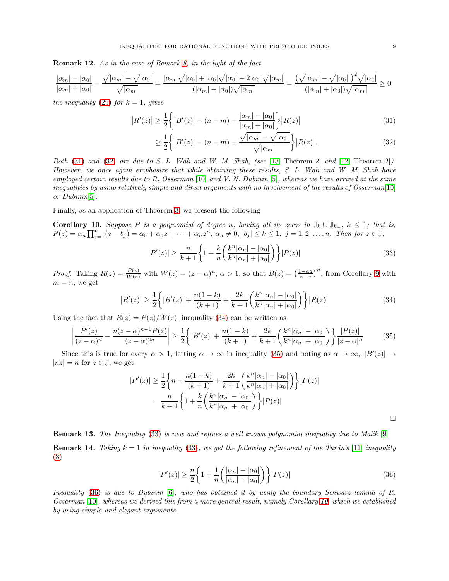Remark 12. As in the case of Remark [8,](#page-6-4) in the light of the fact

$$
\frac{|\alpha_m| - |\alpha_0|}{|\alpha_m| + |\alpha_0|} - \frac{\sqrt{|\alpha_m|} - \sqrt{|\alpha_0|}}{\sqrt{|\alpha_m|}} = \frac{|\alpha_m| \sqrt{|\alpha_0|} + |\alpha_0| \sqrt{|\alpha_0|} - 2|\alpha_0| \sqrt{|\alpha_m|}}{(|\alpha_m| + |\alpha_0|) \sqrt{|\alpha_m|}} = \frac{(\sqrt{|\alpha_m|} - \sqrt{|\alpha_0|})^2 \sqrt{|\alpha_0|}}{(|\alpha_m| + |\alpha_0|) \sqrt{|\alpha_m|}} \ge 0,
$$

the inequality [\(29\)](#page-7-2) for  $k = 1$ , gives

$$
|R'(z)| \ge \frac{1}{2} \left\{ |B'(z)| - (n-m) + \frac{|\alpha_m| - |\alpha_0|}{|\alpha_m| + |\alpha_0|} \right\} |R(z)| \tag{31}
$$

<span id="page-8-1"></span><span id="page-8-0"></span>
$$
\geq \frac{1}{2} \left\{ |B'(z)| - (n-m) + \frac{\sqrt{|\alpha_m|} - \sqrt{|\alpha_0|}}{\sqrt{|\alpha_m|}} \right\} |R(z)|. \tag{32}
$$

Both  $(31)$  and  $(32)$  are due to S. L. Wali and W. M. Shah, (see [\[13,](#page-13-0) Theorem 2] and [\[12,](#page-12-8) Theorem 2]). However, we once again emphasize that while obtaining these results, S. L. Wali and W. M. Shah have employed certain results due to R. Osserman [\[10\]](#page-12-9) and V. N. Dubinin [\[5\]](#page-12-10), whereas we have arrived at the same inequalities by using relatively simple and direct arguments with no involvement of the results of Osserman[\[10\]](#page-12-9) or Dubinin[\[5\]](#page-12-10).

Finally, as an application of Theorem [3,](#page-6-3) we present the following

<span id="page-8-6"></span>**Corollary 10.** Suppose P is a polynomial of degree n, having all its zeros in  $\mathbb{J}_k \cup \mathbb{J}_{k_+}$ ,  $k \leq 1$ ; that is,  $P(z) = \alpha_n \prod_{j=1}^n (z - b_j) = \alpha_0 + \alpha_1 z + \cdots + \alpha_n z^n, \ \alpha_n \neq 0, \ |b_j| \leq k \leq 1, \ j = 1, 2, \ldots, n.$  Then for  $z \in \mathbb{J}$ ,

$$
|P'(z)| \ge \frac{n}{k+1} \bigg\{ 1 + \frac{k}{n} \bigg( \frac{k^n |\alpha_n| - |\alpha_0|}{k^n |\alpha_n| + |\alpha_0|} \bigg) \bigg\} |P(z)| \tag{33}
$$

*Proof.* Taking  $R(z) = \frac{P(z)}{W(z)}$  with  $W(z) = (z - \alpha)^n$ ,  $\alpha > 1$ , so that  $B(z) = \left(\frac{1-\alpha z}{z-\alpha}\right)^n$ , from Corollary [9](#page-7-1) with  $m = n$ , we get

$$
|R'(z)| \ge \frac{1}{2} \left\{ |B'(z)| + \frac{n(1-k)}{(k+1)} + \frac{2k}{k+1} \left( \frac{k^n |\alpha_n| - |\alpha_0|}{k^n |\alpha_n| + |\alpha_0|} \right) \right\} |R(z)| \tag{34}
$$

Using the fact that  $R(z) = P(z)/W(z)$ , inequality [\(34\)](#page-8-2) can be written as

$$
\left| \frac{P'(z)}{(z-\alpha)^n} - \frac{n(z-\alpha)^{n-1}P(z)}{(z-\alpha)^{2n}} \right| \ge \frac{1}{2} \left\{ |B'(z)| + \frac{n(1-k)}{(k+1)} + \frac{2k}{k+1} \left( \frac{k^n |\alpha_n| - |\alpha_0|}{k^n |\alpha_n| + |\alpha_0|} \right) \right\} \frac{|P(z)|}{|z-\alpha|^n} \tag{35}
$$

Since this is true for every  $\alpha > 1$ , letting  $\alpha \to \infty$  in inequality [\(35\)](#page-8-3) and noting as  $\alpha \to \infty$ ,  $|B'(z)| \to$  $|nz| = n$  for  $z \in \mathbb{J}$ , we get

$$
|P'(z)| \ge \frac{1}{2} \bigg\{ n + \frac{n(1-k)}{(k+1)} + \frac{2k}{k+1} \bigg( \frac{k^n |\alpha_n| - |\alpha_0|}{k^n |\alpha_n| + |\alpha_0|} \bigg) \bigg\} |P(z)|
$$
  
= 
$$
\frac{n}{k+1} \bigg\{ 1 + \frac{k}{n} \bigg( \frac{k^n |\alpha_n| - |\alpha_0|}{k^n |\alpha_n| + |\alpha_0|} \bigg) \bigg\} |P(z)|
$$

Remark 13. The Inequality [\(33\)](#page-8-4) is new and refines a well known polynomial inequality due to Malik [\[9\]](#page-12-7) **Remark 14.** Taking  $k = 1$  in inequality [\(33\)](#page-8-4), we get the following refinement of the Turán's [\[11\]](#page-12-2) inequality [\(3\)](#page-0-2)

$$
|P'(z)| \ge \frac{n}{2} \left\{ 1 + \frac{1}{n} \left( \frac{|\alpha_n| - |\alpha_0|}{|\alpha_n| + |\alpha_0|} \right) \right\} |P(z)| \tag{36}
$$

Inequality [\(36\)](#page-8-5) is due to Dubinin [\[6\]](#page-12-11), who has obtained it by using the boundary Schwarz lemma of R. Osserman [\[10\]](#page-12-9), whereas we derived this from a more general result, namely Corollary [10,](#page-8-6) which we established by using simple and elegant arguments.

<span id="page-8-5"></span><span id="page-8-4"></span><span id="page-8-3"></span><span id="page-8-2"></span> $\Box$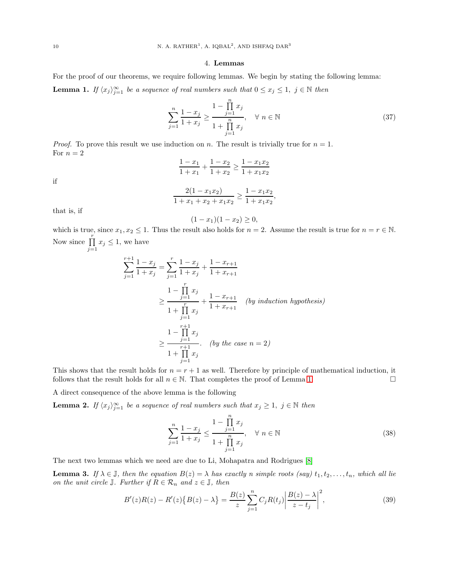#### 4. Lemmas

<span id="page-9-1"></span>For the proof of our theorems, we require following lemmas. We begin by stating the following lemma: **Lemma 1.** If  $\langle x_j \rangle_{j=1}^{\infty}$  be a sequence of real numbers such that  $0 \le x_j \le 1$ ,  $j \in \mathbb{N}$  then

$$
\sum_{j=1}^{n} \frac{1 - x_j}{1 + x_j} \ge \frac{1 - \prod_{j=1}^{n} x_j}{1 + \prod_{j=1}^{n} x_j}, \quad \forall n \in \mathbb{N}
$$
\n(37)

*Proof.* To prove this result we use induction on n. The result is trivially true for  $n = 1$ . For  $n=2$ 

$$
\frac{1 - x_1}{1 + x_1} + \frac{1 - x_2}{1 + x_2} \ge \frac{1 - x_1 x_2}{1 + x_1 x_2}
$$

if

$$
\frac{2(1-x_1x_2)}{1+x_1+x_2+x_1x_2} \ge \frac{1-x_1x_2}{1+x_1x_2},
$$

that is, if

$$
(1-x_1)(1-x_2) \ge 0,
$$

which is true, since  $x_1, x_2 \leq 1$ . Thus the result also holds for  $n = 2$ . Assume the result is true for  $n = r \in \mathbb{N}$ . Now since  $\prod^r$  $\prod_{j=1} x_j \leq 1$ , we have

$$
\sum_{j=1}^{r+1} \frac{1-x_j}{1+x_j} = \sum_{j=1}^{r} \frac{1-x_j}{1+x_j} + \frac{1-x_{r+1}}{1+x_{r+1}}
$$
  
\n
$$
\geq \frac{1-\prod_{j=1}^{r} x_j}{1+\prod_{j=1}^{r} x_j} + \frac{1-x_{r+1}}{1+x_{r+1}} \quad (by \text{ induction hypothesis})
$$
  
\n
$$
\geq \frac{1-\prod_{j=1}^{r+1} x_j}{1+\prod_{j=1}^{r+1} x_j} \quad (by \text{ the case } n = 2)
$$

This shows that the result holds for  $n = r + 1$  as well. Therefore by principle of mathematical induction, it follows that the result holds for all  $n \in \mathbb{N}$ . That completes the proof of Lemma [1.](#page-9-1)

A direct consequence of the above lemma is the following

<span id="page-9-0"></span>**Lemma 2.** If  $\langle x_j \rangle_{j=1}^{\infty}$  be a sequence of real numbers such that  $x_j \geq 1$ ,  $j \in \mathbb{N}$  then

$$
\sum_{j=1}^{n} \frac{1 - x_j}{1 + x_j} \le \frac{1 - \prod_{j=1}^{n} x_j}{1 + \prod_{j=1}^{n} x_j}, \quad \forall n \in \mathbb{N}
$$
\n(38)

The next two lemmas which we need are due to Li, Mohapatra and Rodrigues [\[8\]](#page-12-3)

**Lemma 3.** If  $\lambda \in \mathbb{J}$ , then the equation  $B(z) = \lambda$  has exactly n simple roots (say)  $t_1, t_2, \ldots, t_n$ , which all lie on the unit circle  $\mathbb{J}$ . Further if  $R \in \mathcal{R}_n$  and  $z \in \mathbb{J}$ , then

$$
B'(z)R(z) - R'(z)\{B(z) - \lambda\} = \frac{B(z)}{z} \sum_{j=1}^{n} C_j R(t_j) \left| \frac{B(z) - \lambda}{z - t_j} \right|^2,
$$
\n(39)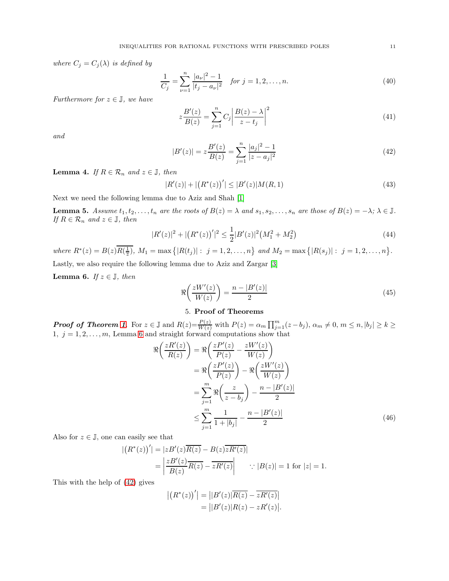where  $C_j = C_j(\lambda)$  is defined by

$$
\frac{1}{C_j} = \sum_{\nu=1}^n \frac{|a_{\nu}|^2 - 1}{|t_j - a_{\nu}|^2} \quad \text{for } j = 1, 2, \dots, n. \tag{40}
$$

Furthermore for  $z \in \mathbb{J}$ , we have

<span id="page-10-1"></span>
$$
z\frac{B'(z)}{B(z)} = \sum_{j=1}^{n} C_j \left| \frac{B(z) - \lambda}{z - t_j} \right|^2 \tag{41}
$$

and

<span id="page-10-3"></span>
$$
|B'(z)| = z \frac{B'(z)}{B(z)} = \sum_{j=1}^{n} \frac{|a_j|^2 - 1}{|z - a_j|^2}
$$
\n(42)

**Lemma 4.** If  $R \in \mathcal{R}_n$  and  $z \in \mathbb{J}$ , then

$$
|R'(z)| + |(R^*(z))'| \le |B'(z)|M(R,1)
$$
\n(43)

Next we need the following lemma due to Aziz and Shah [\[1\]](#page-12-4)

<span id="page-10-4"></span>**Lemma 5.** Assume  $t_1, t_2, \ldots, t_n$  are the roots of  $B(z) = \lambda$  and  $s_1, s_2, \ldots, s_n$  are those of  $B(z) = -\lambda$ ;  $\lambda \in \mathbb{J}$ . If  $R \in \mathcal{R}_n$  and  $z \in \mathbb{J}$ , then

$$
|R'(z)|^2 + |(R^*(z))'|^2 \le \frac{1}{2}|B'(z)|^2 \left(M_1^2 + M_2^2\right)
$$
\n(44)

where  $R^*(z) = B(z)R(\frac{1}{\overline{z}}), M_1 = \max\{|R(t_j)| : j = 1, 2, ..., n\}$  and  $M_2 = \max\{|R(s_j)| : j = 1, 2, ..., n\}.$ Lastly, we also require the following lemma due to Aziz and Zargar [\[3\]](#page-12-5)

<span id="page-10-0"></span>**Lemma 6.** If  $z \in \mathbb{J}$ , then

$$
\Re\left(\frac{zW'(z)}{W(z)}\right) = \frac{n - |B'(z)|}{2} \tag{45}
$$

# <span id="page-10-2"></span>5. Proof of Theorems

**Proof of Theorem [1](#page-2-4).** For  $z \in \mathbb{J}$  and  $R(z) = \frac{P(z)}{W(z)}$  with  $P(z) = \alpha_m \prod_{j=1}^m (z - b_j)$ ,  $\alpha_m \neq 0$ ,  $m \leq n$ ,  $|b_j| \geq k \geq$  $1, j = 1, 2, \ldots, m$ , Lemma [6](#page-10-0) and straight forward computations show that

$$
\Re\left(\frac{zR'(z)}{R(z)}\right) = \Re\left(\frac{zP'(z)}{P(z)} - \frac{zW'(z)}{W(z)}\right)
$$

$$
= \Re\left(\frac{zP'(z)}{P(z)}\right) - \Re\left(\frac{zW'(z)}{W(z)}\right)
$$

$$
= \sum_{j=1}^{m} \Re\left(\frac{z}{z-b_j}\right) - \frac{n - |B'(z)|}{2}
$$

$$
\leq \sum_{j=1}^{m} \frac{1}{1 + |b_j|} - \frac{n - |B'(z)|}{2}
$$
(46)

Also for  $z \in \mathbb{J}$ , one can easily see that

$$
\begin{aligned} \left| \left( R^*(z) \right)' \right| &= \left| z B'(z) \overline{R(z)} - B(z) \overline{z R'(z)} \right| \\ &= \left| \frac{z B'(z)}{B(z)} \overline{R(z)} - \overline{z R'(z)} \right| \qquad \therefore \left| B(z) \right| = 1 \text{ for } |z| = 1. \end{aligned}
$$

This with the help of [\(42\)](#page-10-1) gives

$$
\left| \left( R^*(z) \right)' \right| = \left| |B'(z)| \overline{R(z)} - \overline{zR'(z)} \right|
$$
  
= 
$$
\left| |B'(z)| R(z) - zR'(z) \right|.
$$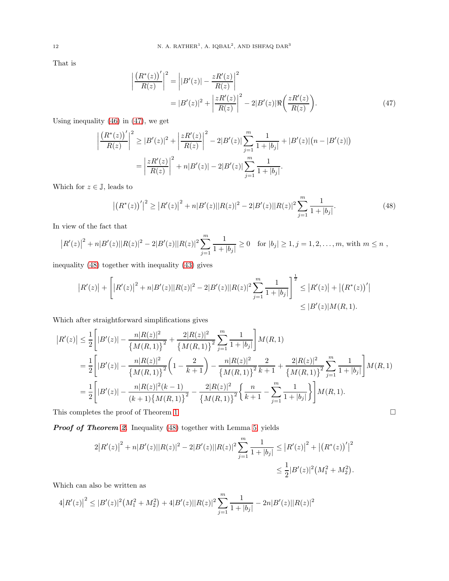That is

<span id="page-11-0"></span>
$$
\left| \frac{(R^*(z))'}{R(z)} \right|^2 = \left| |B'(z)| - \frac{zR'(z)}{R(z)} \right|^2
$$
  
= 
$$
|B'(z)|^2 + \left| \frac{zR'(z)}{R(z)} \right|^2 - 2|B'(z)| \Re \left( \frac{zR'(z)}{R(z)} \right).
$$
 (47)

Using inequality [\(46\)](#page-10-2) in [\(47\)](#page-11-0), we get

$$
\left| \frac{(R^*(z))'}{R(z)} \right|^2 \ge |B'(z)|^2 + \left| \frac{zR'(z)}{R(z)} \right|^2 - 2|B'(z)| \sum_{j=1}^m \frac{1}{1+|b_j|} + |B'(z)| (n - |B'(z)|)
$$

$$
= \left| \frac{zR'(z)}{R(z)} \right|^2 + n|B'(z)| - 2|B'(z)| \sum_{j=1}^m \frac{1}{1+|b_j|}.
$$

Which for  $z \in \mathbb{J}$ , leads to

<span id="page-11-1"></span>
$$
|(R^*(z))'|^2 \ge |R'(z)|^2 + n|B'(z)||R(z)|^2 - 2|B'(z)||R(z)|^2 \sum_{j=1}^m \frac{1}{1+|b_j|}.
$$
\n(48)

In view of the fact that

$$
\left|R'(z)\right|^2 + n|B'(z)||R(z)|^2 - 2|B'(z)||R(z)|^2 \sum_{j=1}^m \frac{1}{1+|b_j|} \ge 0 \quad \text{for } |b_j| \ge 1, j = 1, 2, \dots, m, \text{ with } m \le n ,
$$

inequality [\(48\)](#page-11-1) together with inequality [\(43\)](#page-10-3) gives

$$
|R'(z)| + \left[ |R'(z)|^2 + n|B'(z)||R(z)|^2 - 2|B'(z)||R(z)|^2 \sum_{j=1}^m \frac{1}{1+|b_j|} \right]^{\frac{1}{2}} \leq |R'(z)| + |(R^*(z))'|
$$
  

$$
\leq |B'(z)|M(R, 1).
$$

Which after straightforward simplifications gives

$$
\begin{split} \left|R'(z)\right| &\leq \frac{1}{2} \left[|B'(z)|-\frac{n|R(z)|^2}{\left\{M(R,1)\right\}^2}+\frac{2|R(z)|^2}{\left\{M(R,1)\right\}^2} \sum_{j=1}^m \frac{1}{1+|b_j|}\right] M(R,1) \\ &=\frac{1}{2} \left[|B'(z)|-\frac{n|R(z)|^2}{\left\{M(R,1)\right\}^2} \left(1-\frac{2}{k+1}\right)-\frac{n|R(z)|^2}{\left\{M(R,1)\right\}^2} \frac{2}{k+1}+\frac{2|R(z)|^2}{\left\{M(R,1)\right\}^2} \sum_{j=1}^m \frac{1}{1+|b_j|}\right] M(R,1) \\ &=\frac{1}{2} \left[|B'(z)|-\frac{n|R(z)|^2(k-1)}{(k+1)\left\{M(R,1)\right\}^2}-\frac{2|R(z)|^2}{\left\{M(R,1)\right\}^2} \left\{\frac{n}{k+1}-\sum_{j=1}^m \frac{1}{1+|b_j|}\right\}\right] M(R,1). \end{split}
$$

This completes the proof of Theorem [1](#page-2-4)  $\hfill \square$ 

Proof of Theorem [2](#page-4-3). Inequality [\(48\)](#page-11-1) together with Lemma [5,](#page-10-4) yields

$$
2|R'(z)|^{2} + n|B'(z)||R(z)|^{2} - 2|B'(z)||R(z)|^{2} \sum_{j=1}^{m} \frac{1}{1+|b_{j}|} \leq |R'(z)|^{2} + |(R^{*}(z))'|^{2}
$$
  

$$
\leq \frac{1}{2}|B'(z)|^{2}(M_{1}^{2} + M_{2}^{2}).
$$

Which can also be written as

$$
4|R'(z)|^2 \le |B'(z)|^2\left(M_1^2 + M_2^2\right) + 4|B'(z)||R(z)|^2\sum_{j=1}^m \frac{1}{1+|b_j|} - 2n|B'(z)||R(z)|^2
$$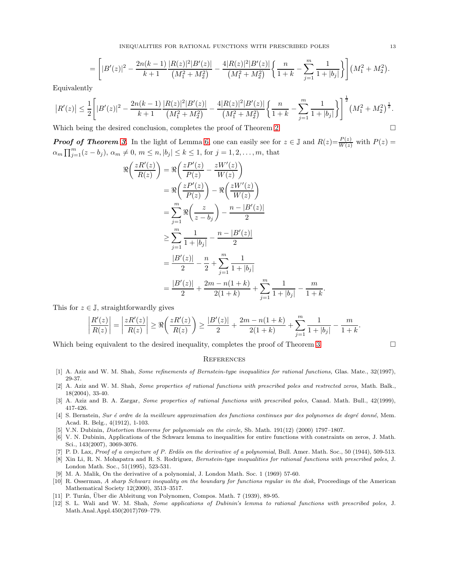INEQUALITIES FOR RATIONAL FUNCTIONS WITH PRESCRIBED POLES 13

$$
= \left[ |B'(z)|^2 - \frac{2n(k-1)}{k+1} \frac{|R(z)|^2 |B'(z)|}{(M_1^2 + M_2^2)} - \frac{4|R(z)|^2 |B'(z)|}{(M_1^2 + M_2^2)} \left\{ \frac{n}{1+k} - \sum_{j=1}^m \frac{1}{1+|b_j|} \right\} \right] (M_1^2 + M_2^2).
$$

Equivalently

$$
\left| R'(z) \right| \leq \frac{1}{2} \Bigg[ |B'(z)|^2 - \frac{2n(k-1)}{k+1} \frac{|R(z)|^2 |B'(z)|}{\left(M_1^2 + M_2^2\right)} - \frac{4 |R(z)|^2 |B'(z)|}{\left(M_1^2 + M_2^2\right)} \left\{ \frac{n}{1+k} - \sum_{j=1}^m \frac{1}{1+|b_j|} \right\} \Bigg]^{\frac{1}{2}} \left(M_1^2 + M_2^2\right)^{\frac{1}{2}}.
$$

Which being the desired conclusion, completes the proof of Theorem [2](#page-4-3)  $\Box$ 

**Proof of Theorem [3](#page-6-3).** In the light of Lemma [6,](#page-10-0) one can easily see for  $z \in \mathbb{J}$  and  $R(z) = \frac{P(z)}{W(z)}$  with  $P(z) =$  $\alpha_m \prod_{j=1}^m (z - b_j), \, \alpha_m \neq 0, \, m \leq n, |b_j| \leq k \leq 1, \, \text{for } j = 1, 2, \dots, m, \, \text{that}$ 

$$
\Re\left(\frac{zR'(z)}{R(z)}\right) = \Re\left(\frac{zP'(z)}{P(z)} - \frac{zW'(z)}{W(z)}\right)
$$
  
\n
$$
= \Re\left(\frac{zP'(z)}{P(z)}\right) - \Re\left(\frac{zW'(z)}{W(z)}\right)
$$
  
\n
$$
= \sum_{j=1}^{m} \Re\left(\frac{z}{z-b_j}\right) - \frac{n-|B'(z)|}{2}
$$
  
\n
$$
\geq \sum_{j=1}^{m} \frac{1}{1+|b_j|} - \frac{n-|B'(z)|}{2}
$$
  
\n
$$
= \frac{|B'(z)|}{2} - \frac{n}{2} + \sum_{j=1}^{m} \frac{1}{1+|b_j|}
$$
  
\n
$$
= \frac{|B'(z)|}{2} + \frac{2m - n(1+k)}{2(1+k)} + \sum_{j=1}^{m} \frac{1}{1+|b_j|} - \frac{m}{1+k}
$$

This for  $z \in \mathbb{J}$ , straightforwardly gives

$$
\left|\frac{R'(z)}{R(z)}\right|=\left|\frac{zR'(z)}{R(z)}\right|\geq \Re\bigg(\frac{zR'(z)}{R(z)}\bigg)\geq \frac{|B'(z)|}{2}+\frac{2m-n(1+k)}{2(1+k)}+\sum_{j=1}^{m}\frac{1}{1+|b_j|}-\frac{m}{1+k}.
$$

Which being equivalent to the desired inequality, completes the proof of Theorem [3](#page-6-3)

.

## **REFERENCES**

- <span id="page-12-4"></span>[1] A. Aziz and W. M. Shah, Some refinements of Bernstein-type inequalities for rational functions, Glas. Mate., 32(1997), 29-37.
- <span id="page-12-6"></span>[2] A. Aziz and W. M. Shah, Some properties of rational functions with prescribed poles and restrected zeros, Math. Balk., 18(2004), 33-40.
- <span id="page-12-5"></span>[3] A. Aziz and B. A. Zargar, Some properties of rational functions with prescribed poles, Canad. Math. Bull., 42(1999), 417-426.
- <span id="page-12-0"></span>[4] S. Bernstein, Sur é ordre de la meilleure approximation des functions continues par des polynomes de degré donné, Mem. Acad. R. Belg., 4(1912), 1-103.
- <span id="page-12-11"></span><span id="page-12-10"></span>[5] V.N. Dubinin, Distortion theorems for polynomials on the circle, Sb. Math. 191(12) (2000) 1797–1807.
- [6] V. N. Dubinin, Applications of the Schwarz lemma to inequalities for entire functions with constraints on zeros, J. Math. Sci., 143(2007), 3069-3076.
- <span id="page-12-3"></span><span id="page-12-1"></span>[7] P. D. Lax, Proof of a conjecture of P. Erdös on the derivative of a polynomial, Bull. Amer. Math. Soc., 50 (1944), 509-513.
- [8] Xin Li, R. N. Mohapatra and R. S. Rodriguez, Bernstein-type inequalities for rational functions with prescribed poles, J. London Math. Soc., 51(1995), 523-531.
- <span id="page-12-9"></span><span id="page-12-7"></span>[9] M. A. Malik, On the derivative of a polynomial, J. London Math. Soc. 1 (1969) 57-60.
- [10] R. Osserman, A sharp Schwarz inequality on the boundary for functions regular in the disk, Proceedings of the American Mathematical Society 12(2000), 3513–3517.
- <span id="page-12-8"></span><span id="page-12-2"></span>[11] P. Turán, Über die Ableitung von Polynomen, Compos. Math. 7 (1939), 89-95.
- [12] S. L. Wali and W. M. Shah, Some applications of Dubinin's lemma to rational functions with prescribed poles, J. Math.Anal.Appl.450(2017)769–779.